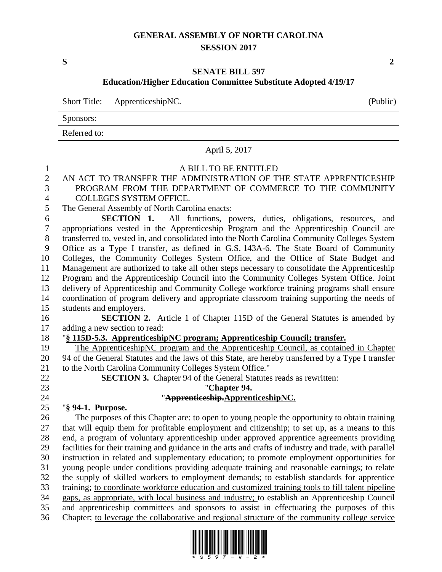## **GENERAL ASSEMBLY OF NORTH CAROLINA SESSION 2017**

**S 2**

#### **SENATE BILL 597 Education/Higher Education Committee Substitute Adopted 4/19/17**

Short Title: ApprenticeshipNC. (Public)

Sponsors:

Referred to:

# April 5, 2017 A BILL TO BE ENTITLED AN ACT TO TRANSFER THE ADMINISTRATION OF THE STATE APPRENTICESHIP PROGRAM FROM THE DEPARTMENT OF COMMERCE TO THE COMMUNITY COLLEGES SYSTEM OFFICE. The General Assembly of North Carolina enacts: **SECTION 1.** All functions, powers, duties, obligations, resources, and appropriations vested in the Apprenticeship Program and the Apprenticeship Council are transferred to, vested in, and consolidated into the North Carolina Community Colleges System Office as a Type I transfer, as defined in G.S. 143A-6. The State Board of Community Colleges, the Community Colleges System Office, and the Office of State Budget and Management are authorized to take all other steps necessary to consolidate the Apprenticeship Program and the Apprenticeship Council into the Community Colleges System Office. Joint delivery of Apprenticeship and Community College workforce training programs shall ensure coordination of program delivery and appropriate classroom training supporting the needs of students and employers. **SECTION 2.** Article 1 of Chapter 115D of the General Statutes is amended by adding a new section to read: "**§ 115D-5.3. ApprenticeshipNC program; Apprenticeship Council; transfer.** The ApprenticeshipNC program and the Apprenticeship Council, as contained in Chapter 94 of the General Statutes and the laws of this State, are hereby transferred by a Type I transfer 21 to the North Carolina Community Colleges System Office." **SECTION 3.** Chapter 94 of the General Statutes reads as rewritten: "**Chapter 94.** "**Apprenticeship.ApprenticeshipNC.** "**§ 94-1. Purpose.** The purposes of this Chapter are: to open to young people the opportunity to obtain training that will equip them for profitable employment and citizenship; to set up, as a means to this end, a program of voluntary apprenticeship under approved apprentice agreements providing facilities for their training and guidance in the arts and crafts of industry and trade, with parallel instruction in related and supplementary education; to promote employment opportunities for young people under conditions providing adequate training and reasonable earnings; to relate the supply of skilled workers to employment demands; to establish standards for apprentice training; to coordinate workforce education and customized training tools to fill talent pipeline gaps, as appropriate, with local business and industry; to establish an Apprenticeship Council and apprenticeship committees and sponsors to assist in effectuating the purposes of this Chapter; to leverage the collaborative and regional structure of the community college service

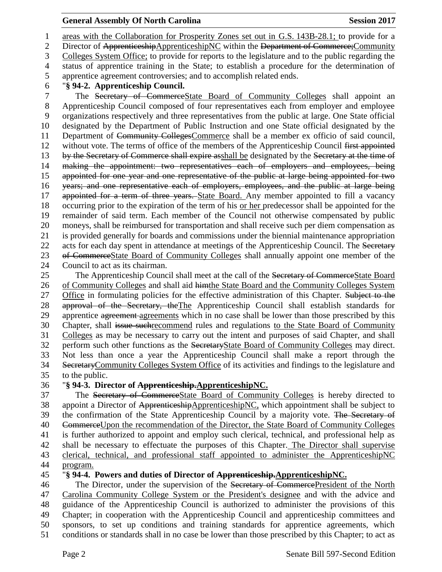#### **General Assembly Of North Carolina Session 2017**

 areas with the Collaboration for Prosperity Zones set out in G.S. 143B-28.1; to provide for a 2 Director of ApprenticeshipApprenticeshipNC within the Department of Commerce; Community Colleges System Office; to provide for reports to the legislature and to the public regarding the status of apprentice training in the State; to establish a procedure for the determination of apprentice agreement controversies; and to accomplish related ends. "**§ 94-2. Apprenticeship Council.** The Secretary of CommerceState Board of Community Colleges shall appoint an Apprenticeship Council composed of four representatives each from employer and employee organizations respectively and three representatives from the public at large. One State official designated by the Department of Public Instruction and one State official designated by the Department of Community CollegesCommerce shall be a member ex officio of said council, 12 without vote. The terms of office of the members of the Apprenticeship Council first appointed 13 by the Secretary of Commerce shall expire asshall be designated by the Secretary at the time of making the appointment: two representatives each of employers and employees, being appointed for one year and one representative of the public at large being appointed for two years; and one representative each of employers, employees, and the public at large being 17 appointed for a term of three years. State Board. Any member appointed to fill a vacancy occurring prior to the expiration of the term of his or her predecessor shall be appointed for the remainder of said term. Each member of the Council not otherwise compensated by public moneys, shall be reimbursed for transportation and shall receive such per diem compensation as is provided generally for boards and commissions under the biennial maintenance appropriation 22 acts for each day spent in attendance at meetings of the Apprenticeship Council. The Secretary of CommerceState Board of Community Colleges shall annually appoint one member of the Council to act as its chairman. 25 The Apprenticeship Council shall meet at the call of the Secretary of CommerceState Board 26 of Community Colleges and shall aid himthe State Board and the Community Colleges System

27 Office in formulating policies for the effective administration of this Chapter. Subject to the 28 approval of the Secretary, the The Apprenticeship Council shall establish standards for 29 apprentice agreement agreements which in no case shall be lower than those prescribed by this Chapter, shall issue suchrecommend rules and regulations to the State Board of Community Colleges as may be necessary to carry out the intent and purposes of said Chapter, and shall perform such other functions as the SecretaryState Board of Community Colleges may direct. Not less than once a year the Apprenticeship Council shall make a report through the SecretaryCommunity Colleges System Office of its activities and findings to the legislature and to the public.

## "**§ 94-3. Director of Apprenticeship.ApprenticeshipNC.**

 The Secretary of CommerceState Board of Community Colleges is hereby directed to 38 appoint a Director of ApprenticeshipApprenticeshipNC, which appointment shall be subject to 39 the confirmation of the State Apprenticeship Council by a majority vote. The Secretary of CommerceUpon the recommendation of the Director, the State Board of Community Colleges is further authorized to appoint and employ such clerical, technical, and professional help as shall be necessary to effectuate the purposes of this Chapter. The Director shall supervise clerical, technical, and professional staff appointed to administer the ApprenticeshipNC program.

#### "**§ 94-4. Powers and duties of Director of Apprenticeship.ApprenticeshipNC.**

46 The Director, under the supervision of the Secretary of CommercePresident of the North Carolina Community College System or the President's designee and with the advice and guidance of the Apprenticeship Council is authorized to administer the provisions of this Chapter; in cooperation with the Apprenticeship Council and apprenticeship committees and sponsors, to set up conditions and training standards for apprentice agreements, which conditions or standards shall in no case be lower than those prescribed by this Chapter; to act as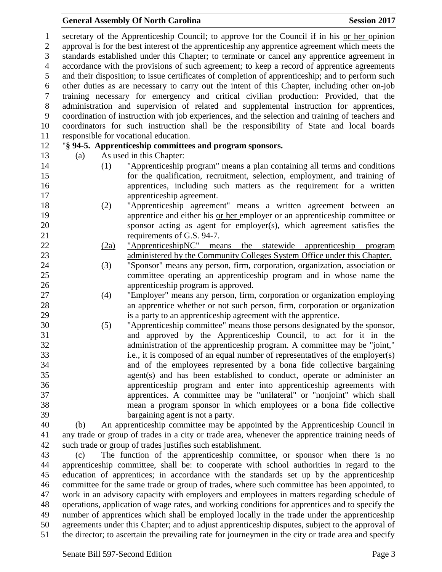accordance with the provisions of such agreement; to keep a record of apprentice agreements and their disposition; to issue certificates of completion of apprenticeship; and to perform such other duties as are necessary to carry out the intent of this Chapter, including other on-job training necessary for emergency and critical civilian production: Provided, that the administration and supervision of related and supplemental instruction for apprentices, coordination of instruction with job experiences, and the selection and training of teachers and coordinators for such instruction shall be the responsibility of State and local boards responsible for vocational education. "**§ 94-5. Apprenticeship committees and program sponsors.** (a) As used in this Chapter: (1) "Apprenticeship program" means a plan containing all terms and conditions for the qualification, recruitment, selection, employment, and training of apprentices, including such matters as the requirement for a written apprenticeship agreement. (2) "Apprenticeship agreement" means a written agreement between an apprentice and either his or her employer or an apprenticeship committee or sponsor acting as agent for employer(s), which agreement satisfies the 21 requirements of G.S. 94-7. (2a) "ApprenticeshipNC" means the statewide apprenticeship program administered by the Community Colleges System Office under this Chapter. (3) "Sponsor" means any person, firm, corporation, organization, association or committee operating an apprenticeship program and in whose name the apprenticeship program is approved. (4) "Employer" means any person, firm, corporation or organization employing an apprentice whether or not such person, firm, corporation or organization is a party to an apprenticeship agreement with the apprentice. (5) "Apprenticeship committee" means those persons designated by the sponsor, and approved by the Apprenticeship Council, to act for it in the administration of the apprenticeship program. A committee may be "joint," i.e., it is composed of an equal number of representatives of the employer(s) and of the employees represented by a bona fide collective bargaining agent(s) and has been established to conduct, operate or administer an apprenticeship program and enter into apprenticeship agreements with apprentices. A committee may be "unilateral" or "nonjoint" which shall mean a program sponsor in which employees or a bona fide collective bargaining agent is not a party. (b) An apprenticeship committee may be appointed by the Apprenticeship Council in any trade or group of trades in a city or trade area, whenever the apprentice training needs of such trade or group of trades justifies such establishment. (c) The function of the apprenticeship committee, or sponsor when there is no apprenticeship committee, shall be: to cooperate with school authorities in regard to the education of apprentices; in accordance with the standards set up by the apprenticeship committee for the same trade or group of trades, where such committee has been appointed, to work in an advisory capacity with employers and employees in matters regarding schedule of operations, application of wage rates, and working conditions for apprentices and to specify the number of apprentices which shall be employed locally in the trade under the apprenticeship agreements under this Chapter; and to adjust apprenticeship disputes, subject to the approval of the director; to ascertain the prevailing rate for journeymen in the city or trade area and specify

 secretary of the Apprenticeship Council; to approve for the Council if in his or her opinion approval is for the best interest of the apprenticeship any apprentice agreement which meets the standards established under this Chapter; to terminate or cancel any apprentice agreement in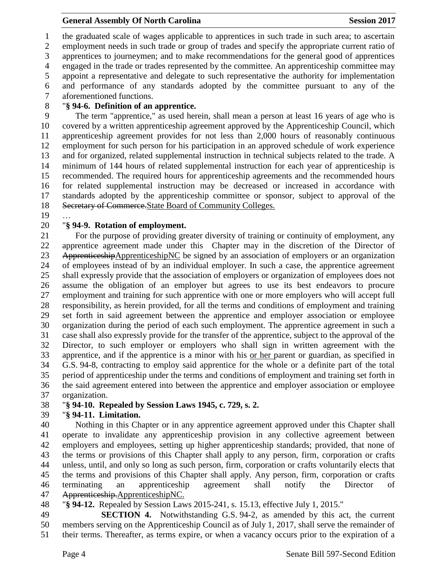the graduated scale of wages applicable to apprentices in such trade in such area; to ascertain employment needs in such trade or group of trades and specify the appropriate current ratio of apprentices to journeymen; and to make recommendations for the general good of apprentices engaged in the trade or trades represented by the committee. An apprenticeship committee may appoint a representative and delegate to such representative the authority for implementation and performance of any standards adopted by the committee pursuant to any of the aforementioned functions.

## "**§ 94-6. Definition of an apprentice.**

 The term "apprentice," as used herein, shall mean a person at least 16 years of age who is covered by a written apprenticeship agreement approved by the Apprenticeship Council, which apprenticeship agreement provides for not less than 2,000 hours of reasonably continuous employment for such person for his participation in an approved schedule of work experience and for organized, related supplemental instruction in technical subjects related to the trade. A minimum of 144 hours of related supplemental instruction for each year of apprenticeship is recommended. The required hours for apprenticeship agreements and the recommended hours for related supplemental instruction may be decreased or increased in accordance with standards adopted by the apprenticeship committee or sponsor, subject to approval of the 18 Secretary of Commerce. State Board of Community Colleges.

…

#### "**§ 94-9. Rotation of employment.**

 For the purpose of providing greater diversity of training or continuity of employment, any apprentice agreement made under this Chapter may in the discretion of the Director of 23 ApprenticeshipApprenticeshipNC be signed by an association of employers or an organization of employees instead of by an individual employer. In such a case, the apprentice agreement shall expressly provide that the association of employers or organization of employees does not assume the obligation of an employer but agrees to use its best endeavors to procure employment and training for such apprentice with one or more employers who will accept full responsibility, as herein provided, for all the terms and conditions of employment and training set forth in said agreement between the apprentice and employer association or employee organization during the period of each such employment. The apprentice agreement in such a case shall also expressly provide for the transfer of the apprentice, subject to the approval of the Director, to such employer or employers who shall sign in written agreement with the apprentice, and if the apprentice is a minor with his or her parent or guardian, as specified in G.S. 94-8, contracting to employ said apprentice for the whole or a definite part of the total period of apprenticeship under the terms and conditions of employment and training set forth in the said agreement entered into between the apprentice and employer association or employee organization.

## "**§ 94-10. Repealed by Session Laws 1945, c. 729, s. 2.**

## "**§ 94-11. Limitation.**

 Nothing in this Chapter or in any apprentice agreement approved under this Chapter shall operate to invalidate any apprenticeship provision in any collective agreement between employers and employees, setting up higher apprenticeship standards; provided, that none of the terms or provisions of this Chapter shall apply to any person, firm, corporation or crafts unless, until, and only so long as such person, firm, corporation or crafts voluntarily elects that the terms and provisions of this Chapter shall apply. Any person, firm, corporation or crafts terminating an apprenticeship agreement shall notify the Director of Apprenticeship.ApprenticeshipNC.

"**§ 94-12.** Repealed by Session Laws 2015-241, s. 15.13, effective July 1, 2015."

 **SECTION 4.** Notwithstanding G.S. 94-2, as amended by this act, the current members serving on the Apprenticeship Council as of July 1, 2017, shall serve the remainder of their terms. Thereafter, as terms expire, or when a vacancy occurs prior to the expiration of a